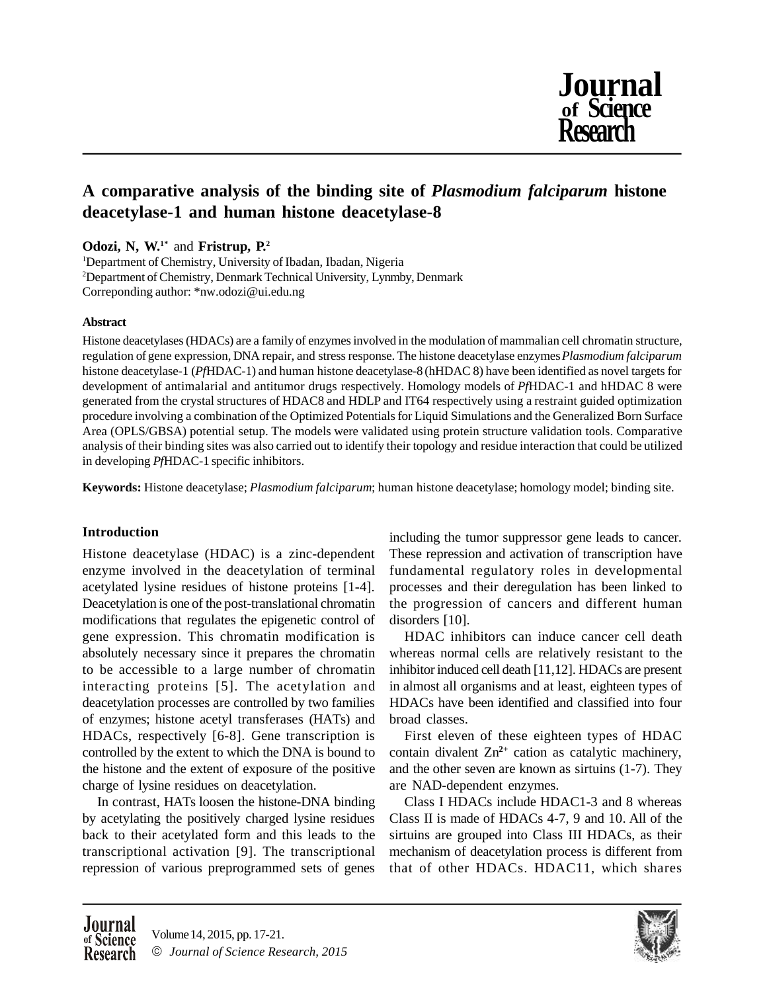

# **A comparative analysis of the binding site of** *Plasmodium falciparum* **histone deacetylase-1 and human histone deacetylase-8**

**Odozi, N, W.1\*** and **Fristrup, P.<sup>2</sup>**

<sup>1</sup>Department of Chemistry, University of Ibadan, Ibadan, Nigeria <sup>2</sup>Department of Chemistry, Denmark Technical University, Lynmby, Denmark Correponding author: \*nw.odozi@ui.edu.ng

# **Abstract**

Histone deacetylases (HDACs) are a family of enzymes involved in the modulation of mammalian cell chromatin structure, regulation of gene expression, DNA repair, and stress response. The histone deacetylase enzymes *Plasmodium falciparum* histone deacetylase-1 (*Pf*HDAC-1) and human histone deacetylase-8 (hHDAC 8) have been identified as novel targets for development of antimalarial and antitumor drugs respectively. Homology models of *Pf*HDAC-1 and hHDAC 8 were generated from the crystal structures of HDAC8 and HDLP and IT64 respectively using a restraint guided optimization procedure involving a combination of the Optimized Potentials for Liquid Simulations and the Generalized Born Surface Area (OPLS/GBSA) potential setup. The models were validated using protein structure validation tools. Comparative analysis of their binding sites was also carried out to identify their topology and residue interaction that could be utilized in developing *Pf*HDAC-1 specific inhibitors.

**Keywords:** Histone deacetylase; *Plasmodium falciparum*; human histone deacetylase; homology model; binding site.

# **Introduction**

Histone deacetylase (HDAC) is a zinc-dependent enzyme involved in the deacetylation of terminal acetylated lysine residues of histone proteins [1-4]. Deacetylation is one of the post-translational chromatin modifications that regulates the epigenetic control of gene expression. This chromatin modification is absolutely necessary since it prepares the chromatin to be accessible to a large number of chromatin interacting proteins [5]. The acetylation and deacetylation processes are controlled by two families of enzymes; histone acetyl transferases (HATs) and HDACs, respectively [6-8]. Gene transcription is controlled by the extent to which the DNA is bound to the histone and the extent of exposure of the positive charge of lysine residues on deacetylation.

In contrast, HATs loosen the histone-DNA binding by acetylating the positively charged lysine residues back to their acetylated form and this leads to the transcriptional activation [9]. The transcriptional repression of various preprogrammed sets of genes

including the tumor suppressor gene leads to cancer. These repression and activation of transcription have fundamental regulatory roles in developmental processes and their deregulation has been linked to the progression of cancers and different human disorders [10].

HDAC inhibitors can induce cancer cell death whereas normal cells are relatively resistant to the inhibitor induced cell death [11,12]. HDACs are present in almost all organisms and at least, eighteen types of HDACs have been identified and classified into four broad classes.

First eleven of these eighteen types of HDAC contain divalent Zn**2+** cation as catalytic machinery, and the other seven are known as sirtuins (1-7). They are NAD-dependent enzymes.

Class I HDACs include HDAC1-3 and 8 whereas Class II is made of HDACs 4-7, 9 and 10. All of the sirtuins are grouped into Class III HDACs, as their mechanism of deacetylation process is different from that of other HDACs. HDAC11, which shares

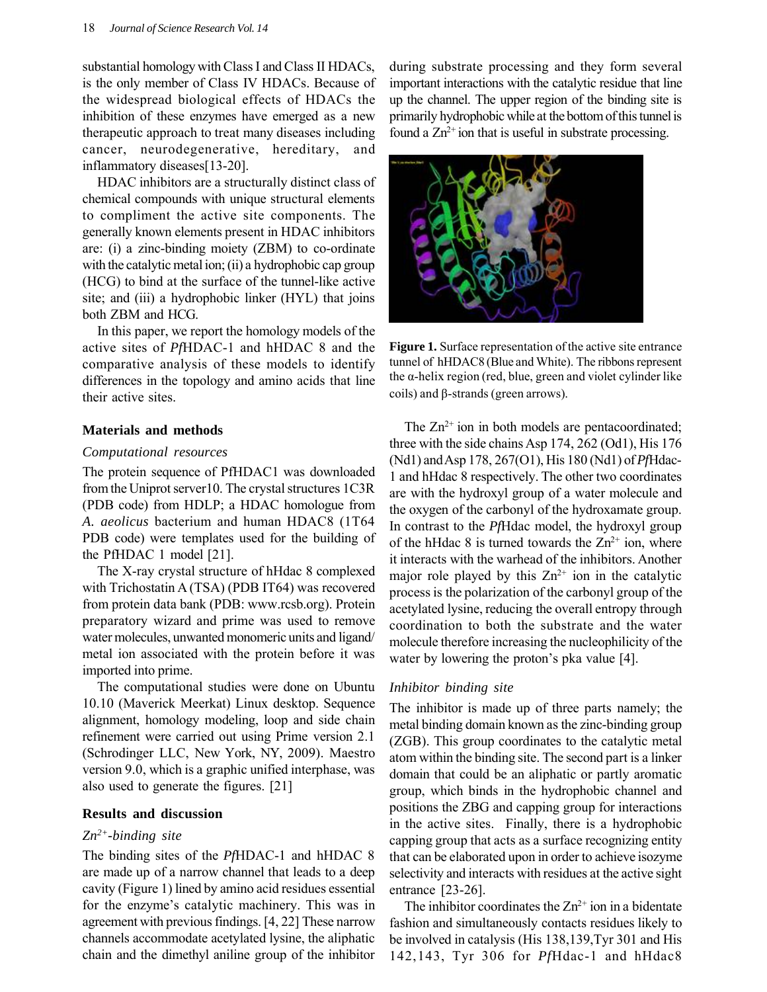substantial homology with Class I and Class II HDACs, is the only member of Class IV HDACs. Because of the widespread biological effects of HDACs the inhibition of these enzymes have emerged as a new therapeutic approach to treat many diseases including cancer, neurodegenerative, hereditary, and inflammatory diseases[13-20].

HDAC inhibitors are a structurally distinct class of chemical compounds with unique structural elements to compliment the active site components. The generally known elements present in HDAC inhibitors are: (i) a zinc-binding moiety (ZBM) to co-ordinate with the catalytic metal ion; (ii) a hydrophobic cap group (HCG) to bind at the surface of the tunnel-like active site; and (iii) a hydrophobic linker (HYL) that joins both ZBM and HCG.

In this paper, we report the homology models of the active sites of *Pf*HDAC-1 and hHDAC 8 and the comparative analysis of these models to identify differences in the topology and amino acids that line their active sites.

#### **Materials and methods**

#### *Computational resources*

The protein sequence of PfHDAC1 was downloaded from the Uniprot server10. The crystal structures 1C3R (PDB code) from HDLP; a HDAC homologue from *A. aeolicus* bacterium and human HDAC8 (1T64 PDB code) were templates used for the building of the PfHDAC 1 model [21].

The X-ray crystal structure of hHdac 8 complexed with Trichostatin A (TSA) (PDB IT64) was recovered from protein data bank (PDB: www.rcsb.org). Protein preparatory wizard and prime was used to remove water molecules, unwanted monomeric units and ligand/ metal ion associated with the protein before it was imported into prime.

The computational studies were done on Ubuntu 10.10 (Maverick Meerkat) Linux desktop. Sequence alignment, homology modeling, loop and side chain refinement were carried out using Prime version 2.1 (Schrodinger LLC, New York, NY, 2009). Maestro version 9.0, which is a graphic unified interphase, was also used to generate the figures. [21]

#### **Results and discussion**

#### *Zn2+-binding site*

The binding sites of the *Pf*HDAC-1 and hHDAC 8 are made up of a narrow channel that leads to a deep cavity (Figure 1) lined by amino acid residues essential for the enzyme's catalytic machinery. This was in agreement with previous findings. [4, 22] These narrow channels accommodate acetylated lysine, the aliphatic chain and the dimethyl aniline group of the inhibitor during substrate processing and they form several important interactions with the catalytic residue that line up the channel. The upper region of the binding site is primarily hydrophobic while at the bottom of this tunnel is found a  $Zn^{2+}$  ion that is useful in substrate processing.



**Figure 1.** Surface representation of the active site entrance tunnel of hHDAC8 (Blue and White). The ribbons represent the α-helix region (red, blue, green and violet cylinder like coils) and β-strands (green arrows).

The  $Zn^{2+}$  ion in both models are pentacoordinated; three with the side chains Asp 174, 262 (Od1), His 176 (Nd1) and Asp 178, 267(O1), His 180 (Nd1) of *Pf*Hdac-1 and hHdac 8 respectively. The other two coordinates are with the hydroxyl group of a water molecule and the oxygen of the carbonyl of the hydroxamate group. In contrast to the *Pf*Hdac model, the hydroxyl group of the hHdac 8 is turned towards the  $Zn^{2+}$  ion, where it interacts with the warhead of the inhibitors. Another major role played by this  $Zn^{2+}$  ion in the catalytic process is the polarization of the carbonyl group of the acetylated lysine, reducing the overall entropy through coordination to both the substrate and the water molecule therefore increasing the nucleophilicity of the water by lowering the proton's pka value [4].

#### *Inhibitor binding site*

The inhibitor is made up of three parts namely; the metal binding domain known as the zinc-binding group (ZGB). This group coordinates to the catalytic metal atom within the binding site. The second part is a linker domain that could be an aliphatic or partly aromatic group, which binds in the hydrophobic channel and positions the ZBG and capping group for interactions in the active sites. Finally, there is a hydrophobic capping group that acts as a surface recognizing entity that can be elaborated upon in order to achieve isozyme selectivity and interacts with residues at the active sight entrance [23-26].

The inhibitor coordinates the  $Zn^{2+}$  ion in a bidentate fashion and simultaneously contacts residues likely to be involved in catalysis (His 138,139,Tyr 301 and His 142,143, Tyr 306 for *Pf*Hdac-1 and hHdac8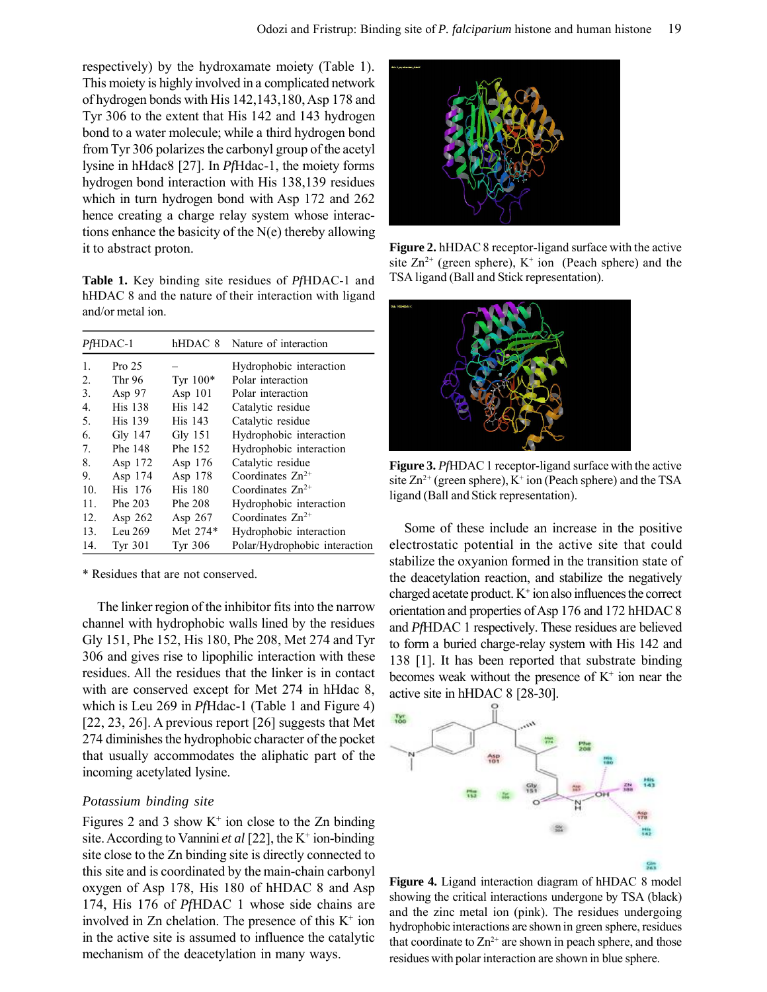respectively) by the hydroxamate moiety (Table 1). This moiety is highly involved in a complicated network of hydrogen bonds with His 142,143,180, Asp 178 and Tyr 306 to the extent that His 142 and 143 hydrogen bond to a water molecule; while a third hydrogen bond from Tyr 306 polarizes the carbonyl group of the acetyl lysine in hHdac8 [27]. In *Pf*Hdac-1, the moiety forms hydrogen bond interaction with His 138,139 residues which in turn hydrogen bond with Asp 172 and 262 hence creating a charge relay system whose interactions enhance the basicity of the N(e) thereby allowing it to abstract proton.

**Table 1.** Key binding site residues of *Pf*HDAC-1 and hHDAC 8 and the nature of their interaction with ligand and/or metal ion.

| PfHDAC-1         |                   | hHDAC 8    | Nature of interaction         |
|------------------|-------------------|------------|-------------------------------|
| 1.               | Pro <sub>25</sub> |            | Hydrophobic interaction       |
| $\overline{2}$ . | Thr 96            | Tyr $100*$ | Polar interaction             |
| 3.               | Asp 97            | Asp $101$  | Polar interaction             |
| 4.               | <b>His 138</b>    | His 142    | Catalytic residue             |
| 5.               | <b>His 139</b>    | His 143    | Catalytic residue             |
| 6.               | Gly 147           | $Gly$ 151  | Hydrophobic interaction       |
| $7_{\cdot}$      | Phe 148           | Phe 152    | Hydrophobic interaction       |
| 8.               | Asp 172           | Asp 176    | Catalytic residue             |
| 9.               | Asp 174           | Asp 178    | Coordinates $Zn^{2+}$         |
| 10 <sub>1</sub>  | His 176           | His 180    | Coordinates $Zn^{2+}$         |
| 11.              | Phe 203           | Phe 208    | Hydrophobic interaction       |
| 12.              | Asp $262$         | Asp $267$  | Coordinates $Zn^{2+}$         |
| 13.              | Leu $269$         | Met 274*   | Hydrophobic interaction       |
| 14.              | Tyr 301           | Tyr 306    | Polar/Hydrophobic interaction |

\* Residues that are not conserved.

The linker region of the inhibitor fits into the narrow channel with hydrophobic walls lined by the residues Gly 151, Phe 152, His 180, Phe 208, Met 274 and Tyr 306 and gives rise to lipophilic interaction with these residues. All the residues that the linker is in contact with are conserved except for Met 274 in hHdac 8, which is Leu 269 in *Pf*Hdac-1 (Table 1 and Figure 4) [22, 23, 26]. A previous report [26] suggests that Met 274 diminishes the hydrophobic character of the pocket that usually accommodates the aliphatic part of the incoming acetylated lysine.

### *Potassium binding site*

Figures 2 and 3 show  $K^+$  ion close to the Zn binding site. According to Vannini *et al* [22], the K<sup>+</sup> ion-binding site close to the Zn binding site is directly connected to this site and is coordinated by the main-chain carbonyl oxygen of Asp 178, His 180 of hHDAC 8 and Asp 174, His 176 of *Pf*HDAC 1 whose side chains are involved in Zn chelation. The presence of this  $K^+$  ion in the active site is assumed to influence the catalytic mechanism of the deacetylation in many ways.



**Figure 2.** hHDAC 8 receptor-ligand surface with the active site  $\text{Zn}^{2+}$  (green sphere), K<sup>+</sup> ion (Peach sphere) and the TSA ligand (Ball and Stick representation).



**Figure 3.** *Pf*HDAC 1 receptor-ligand surface with the active site  $Zn^{2+}$  (green sphere),  $K^+$  ion (Peach sphere) and the TSA ligand (Ball and Stick representation).

Some of these include an increase in the positive electrostatic potential in the active site that could stabilize the oxyanion formed in the transition state of the deacetylation reaction, and stabilize the negatively charged acetate product. K**<sup>+</sup>** ion also influences the correct orientation and properties of Asp 176 and 172 hHDAC 8 and *Pf*HDAC 1 respectively. These residues are believed to form a buried charge-relay system with His 142 and 138 [1]. It has been reported that substrate binding becomes weak without the presence of  $K^+$  ion near the active site in hHDAC 8 [28-30].



**Figure 4.** Ligand interaction diagram of hHDAC 8 model showing the critical interactions undergone by TSA (black) and the zinc metal ion (pink). The residues undergoing hydrophobic interactions are shown in green sphere, residues that coordinate to  $\text{Zn}^{2+}$  are shown in peach sphere, and those residues with polar interaction are shown in blue sphere.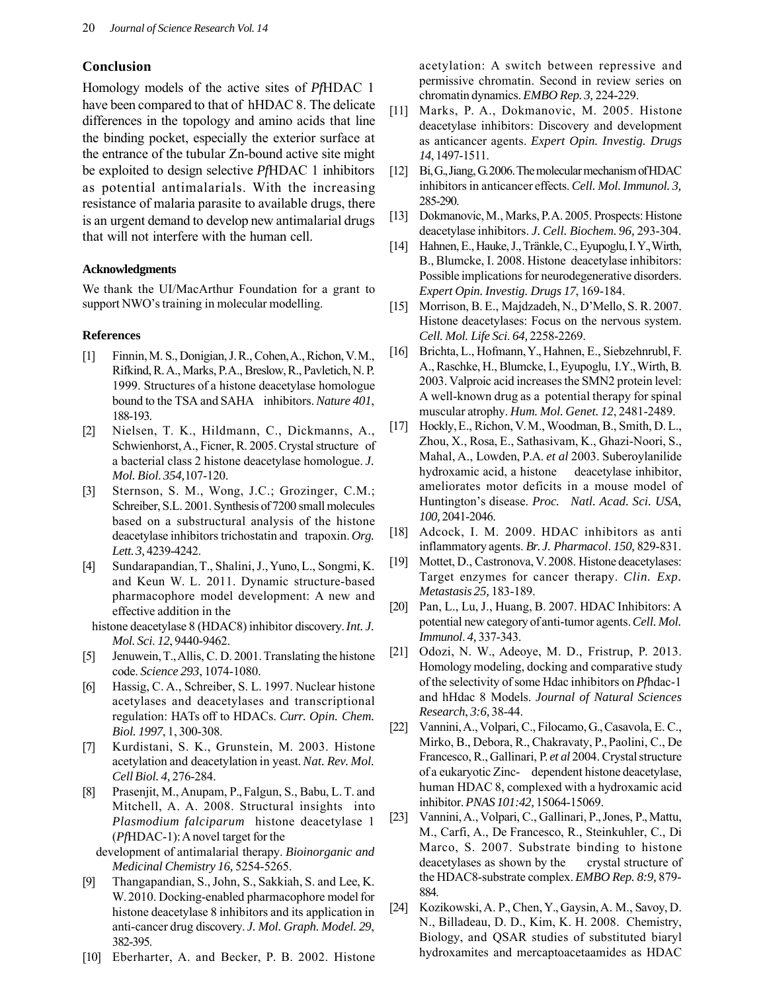## **Conclusion**

Homology models of the active sites of *Pf*HDAC 1 have been compared to that of hHDAC 8. The delicate differences in the topology and amino acids that line the binding pocket, especially the exterior surface at the entrance of the tubular Zn-bound active site might be exploited to design selective *Pf*HDAC 1 inhibitors as potential antimalarials. With the increasing resistance of malaria parasite to available drugs, there is an urgent demand to develop new antimalarial drugs that will not interfere with the human cell.

#### **Acknowledgments**

We thank the UI/MacArthur Foundation for a grant to support NWO's training in molecular modelling.

#### **References**

- [1] Finnin, M. S., Donigian, J. R., Cohen, A., Richon, V. M., Rifkind, R. A., Marks, P. A., Breslow, R., Pavletich, N. P. 1999. Structures of a histone deacetylase homologue bound to the TSA and SAHA inhibitors. *Nature 401*, 188-193.
- [2] Nielsen, T. K., Hildmann, C., Dickmanns, A., Schwienhorst, A., Ficner, R. 2005. Crystal structure of a bacterial class 2 histone deacetylase homologue. *J. Mol. Biol*. *354,*107-120.
- [3] Sternson, S. M., Wong, J.C.; Grozinger, C.M.; Schreiber, S.L. 2001. Synthesis of 7200 small molecules based on a substructural analysis of the histone deacetylase inhibitors trichostatin and trapoxin. *Org. Lett. 3,* 4239-4242.
- [4] Sundarapandian, T., Shalini, J., Yuno, L., Songmi, K. and Keun W. L. 2011. Dynamic structure-based pharmacophore model development: A new and effective addition in the

histone deacetylase 8 (HDAC8) inhibitor discovery. *Int. J. Mol. Sci*. *12*, 9440-9462.

- [5] Jenuwein, T., Allis, C. D. 2001. Translating the histone code. *Science 293*, 1074-1080.
- [6] Hassig, C. A., Schreiber, S. L. 1997. Nuclear histone acetylases and deacetylases and transcriptional regulation: HATs off to HDACs. *Curr. Opin. Chem. Biol. 1997*, 1, 300-308.
- [7] Kurdistani, S. K., Grunstein, M. 2003. Histone acetylation and deacetylation in yeast. *Nat. Rev. Mol. Cell Biol. 4,* 276-284.
- [8] Prasenjit, M., Anupam, P., Falgun, S., Babu, L. T. and Mitchell, A. A. 2008. Structural insights into *Plasmodium falciparum* histone deacetylase 1 (*Pf*HDAC-1): A novel target for the

development of antimalarial therapy. *Bioinorganic and Medicinal Chemistry 16,* 5254-5265.

- [9] Thangapandian, S., John, S., Sakkiah, S. and Lee, K. W. 2010. Docking-enabled pharmacophore model for histone deacetylase 8 inhibitors and its application in anti-cancer drug discovery. *J. Mol. Graph. Model. 29*, 382-395.
- [10] Eberharter, A. and Becker, P. B. 2002. Histone

acetylation: A switch between repressive and permissive chromatin. Second in review series on chromatin dynamics. *EMBO Rep. 3,* 224-229.

- [11] Marks, P. A., Dokmanovic, M. 2005. Histone deacetylase inhibitors: Discovery and development as anticancer agents. *Expert Opin. Investig. Drugs 14*, 1497-1511.
- [12] Bi, G., Jiang, G. 2006. The molecular mechanism of HDAC inhibitors in anticancer effects. *Cell. Mol. Immunol. 3,* 285-290.
- [13] Dokmanovic, M., Marks, P.A. 2005. Prospects: Histone deacetylase inhibitors. *J. Cell. Biochem. 96,* 293-304.
- [14] Hahnen, E., Hauke, J., Tränkle, C., Eyupoglu, I. Y., Wirth, B., Blumcke, I. 2008. Histone deacetylase inhibitors: Possible implications for neurodegenerative disorders. *Expert Opin. Investig. Drugs 17*, 169-184.
- [15] Morrison, B. E., Majdzadeh, N., D'Mello, S. R. 2007. Histone deacetylases: Focus on the nervous system. *Cell. Mol. Life Sci*. *64,* 2258-2269.
- [16] Brichta, L., Hofmann, Y., Hahnen, E., Siebzehnrubl, F. A., Raschke, H., Blumcke, I., Eyupoglu, I.Y., Wirth, B. 2003. Valproic acid increases the SMN2 protein level: A well-known drug as a potential therapy for spinal muscular atrophy. *Hum. Mol. Genet. 12*, 2481-2489.
- [17] Hockly, E., Richon, V. M., Woodman, B., Smith, D. L., Zhou, X., Rosa, E., Sathasivam, K., Ghazi-Noori, S., Mahal, A., Lowden, P.A. *et al* 2003. Suberoylanilide hydroxamic acid, a histone deacetylase inhibitor, ameliorates motor deficits in a mouse model of Huntington's disease. *Proc. Natl. Acad. Sci. USA*, *100,* 2041-2046.
- [18] Adcock, I. M. 2009. HDAC inhibitors as anti inflammatory agents. *Br. J. Pharmacol*. *150,* 829-831.
- [19] Mottet, D., Castronova, V. 2008. Histone deacetylases: Target enzymes for cancer therapy. *Clin. Exp. Metastasis 25,* 183-189.
- [20] Pan, L., Lu, J., Huang, B. 2007. HDAC Inhibitors: A potential new category of anti-tumor agents. *Cell. Mol. Immunol*. *4,* 337-343.
- [21] Odozi, N. W., Adeoye, M. D., Fristrup, P. 2013. Homology modeling, docking and comparative study of the selectivity of some Hdac inhibitors on *Pf*hdac-1 and hHdac 8 Models. *Journal of Natural Sciences Research*, *3:6,* 38-44.
- [22] Vannini, A., Volpari, C., Filocamo, G., Casavola, E. C., Mirko, B., Debora, R., Chakravaty, P., Paolini, C., De Francesco, R., Gallinari, P. *et al* 2004. Crystal structure of a eukaryotic Zinc- dependent histone deacetylase, human HDAC 8, complexed with a hydroxamic acid inhibitor. *PNAS 101:42,* 15064-15069.
- [23] Vannini, A., Volpari, C., Gallinari, P., Jones, P., Mattu, M., Carfi, A., De Francesco, R., Steinkuhler, C., Di Marco, S. 2007. Substrate binding to histone deacetylases as shown by the crystal structure of the HDAC8-substrate complex. *EMBO Rep. 8:9,* 879- 884.
- [24] Kozikowski, A. P., Chen, Y., Gaysin, A. M., Savoy, D. N., Billadeau, D. D., Kim, K. H. 2008. Chemistry, Biology, and QSAR studies of substituted biaryl hydroxamites and mercaptoacetaamides as HDAC